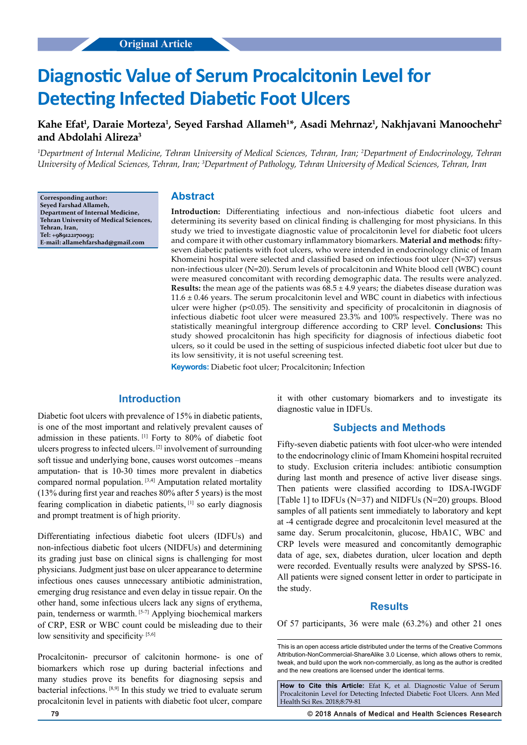# **Diagnostic Value of Serum Procalcitonin Level for Detecting Infected Diabetic Foot Ulcers**

# **Kahe Efat1 , Daraie Morteza1 , Seyed Farshad Allameh1 \*, Asadi Mehrnaz1 , Nakhjavani Manoochehr2 and Abdolahi Alireza3**

*1 Department of Internal Medicine, Tehran University of Medical Sciences, Tehran, Iran; 2 Department of Endocrinology, Tehran University of Medical Sciences, Tehran, Iran; 3 Department of Pathology, Tehran University of Medical Sciences, Tehran, Iran*

**Corresponding author: Seyed Farshad Allameh, Department of Internal Medicine, Tehran University of Medical Sciences, Tehran, Iran, Tel: +989122170093; E-mail: allamehfarshad@gmail.com**

## **Abstract**

**Introduction:** Differentiating infectious and non-infectious diabetic foot ulcers and determining its severity based on clinical finding is challenging for most physicians. In this study we tried to investigate diagnostic value of procalcitonin level for diabetic foot ulcers and compare it with other customary inflammatory biomarkers. **Material and methods:** fiftyseven diabetic patients with foot ulcers, who were intended in endocrinology clinic of Imam Khomeini hospital were selected and classified based on infectious foot ulcer (N=37) versus non-infectious ulcer (N=20). Serum levels of procalcitonin and White blood cell (WBC) count were measured concomitant with recording demographic data. The results were analyzed. **Results:** the mean age of the patients was  $68.5 \pm 4.9$  years; the diabetes disease duration was  $11.6 \pm 0.46$  years. The serum procalcitonin level and WBC count in diabetics with infectious ulcer were higher ( $p<0.05$ ). The sensitivity and specificity of procalcitonin in diagnosis of infectious diabetic foot ulcer were measured 23.3% and 100% respectively. There was no statistically meaningful intergroup difference according to CRP level. **Conclusions:** This study showed procalcitonin has high specificity for diagnosis of infectious diabetic foot ulcers, so it could be used in the setting of suspicious infected diabetic foot ulcer but due to its low sensitivity, it is not useful screening test.

**Keywords:** Diabetic foot ulcer; Procalcitonin; Infection

## **Introduction**

Diabetic foot ulcers with prevalence of 15% in diabetic patients, is one of the most important and relatively prevalent causes of admission in these patients. [1] Forty to 80% of diabetic foot ulcers progress to infected ulcers. [2] involvement of surrounding soft tissue and underlying bone, causes worst outcomes –means amputation- that is 10-30 times more prevalent in diabetics compared normal population. [3,4] Amputation related mortality (13% during first year and reaches 80% after 5 years) is the most fearing complication in diabetic patients, [1] so early diagnosis and prompt treatment is of high priority.

Differentiating infectious diabetic foot ulcers (IDFUs) and non-infectious diabetic foot ulcers (NIDFUs) and determining its grading just base on clinical signs is challenging for most physicians. Judgment just base on ulcer appearance to determine infectious ones causes unnecessary antibiotic administration, emerging drug resistance and even delay in tissue repair. On the other hand, some infectious ulcers lack any signs of erythema, pain, tenderness or warmth. [5-7] Applying biochemical markers of CRP, ESR or WBC count could be misleading due to their low sensitivity and specificity. [5,6]

Procalcitonin- precursor of calcitonin hormone- is one of biomarkers which rose up during bacterial infections and many studies prove its benefits for diagnosing sepsis and bacterial infections. [8,9] In this study we tried to evaluate serum procalcitonin level in patients with diabetic foot ulcer, compare it with other customary biomarkers and to investigate its diagnostic value in IDFUs.

## **Subjects and Methods**

Fifty-seven diabetic patients with foot ulcer-who were intended to the endocrinology clinic of Imam Khomeini hospital recruited to study. Exclusion criteria includes: antibiotic consumption during last month and presence of active liver disease sings. Then patients were classified according to IDSA-IWGDF [Table 1] to IDFUs (N=37) and NIDFUs (N=20) groups. Blood samples of all patients sent immediately to laboratory and kept at -4 centigrade degree and procalcitonin level measured at the same day. Serum procalcitonin, glucose, HbA1C, WBC and CRP levels were measured and concomitantly demographic data of age, sex, diabetes duration, ulcer location and depth were recorded. Eventually results were analyzed by SPSS-16. All patients were signed consent letter in order to participate in the study.

#### **Results**

Of 57 participants, 36 were male (63.2%) and other 21 ones

This is an open access article distributed under the terms of the Creative Commons Attribution-NonCommercial-ShareAlike 3.0 License, which allows others to remix, tweak, and build upon the work non‑commercially, as long as the author is credited and the new creations are licensed under the identical terms.

**How to Cite this Article:** Efat K, et al. Diagnostic Value of Serum Procalcitonin Level for Detecting Infected Diabetic Foot Ulcers. Ann Med Health Sci Res. 2018;8:79-81

**79 © 2018 Annals of Medical and Health Sciences Research**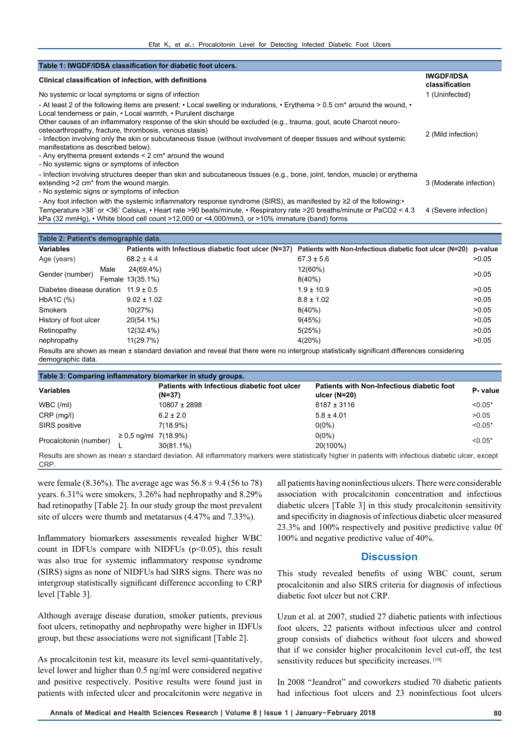| Table 1: IWGDF/IDSA classification for diabetic foot ulcers.                                                                                                                                                                                                                                                                                                                                                                                                                                                                                                                                                                                                        |                                     |
|---------------------------------------------------------------------------------------------------------------------------------------------------------------------------------------------------------------------------------------------------------------------------------------------------------------------------------------------------------------------------------------------------------------------------------------------------------------------------------------------------------------------------------------------------------------------------------------------------------------------------------------------------------------------|-------------------------------------|
| Clinical classification of infection, with definitions                                                                                                                                                                                                                                                                                                                                                                                                                                                                                                                                                                                                              | <b>IWGDF/IDSA</b><br>classification |
| No systemic or local symptoms or signs of infection                                                                                                                                                                                                                                                                                                                                                                                                                                                                                                                                                                                                                 | 1 (Uninfected)                      |
| - At least 2 of the following items are present: • Local swelling or indurations, • Erythema > 0.5 cm* around the wound, •<br>Local tenderness or pain, • Local warmth, • Purulent discharge<br>Other causes of an inflammatory response of the skin should be excluded (e.g., trauma, gout, acute Charcot neuro-<br>osteoarthropathy, fracture, thrombosis, venous stasis)<br>- Infection involving only the skin or subcutaneous tissue (without involvement of deeper tissues and without systemic<br>manifestations as described below).<br>- Any erythema present extends < 2 cm <sup>*</sup> around the wound<br>- No systemic signs or symptoms of infection | 2 (Mild infection)                  |
| - Infection involving structures deeper than skin and subcutaneous tissues (e.g., bone, joint, tendon, muscle) or erythema<br>extending >2 cm <sup>*</sup> from the wound margin.<br>- No systemic signs or symptoms of infection                                                                                                                                                                                                                                                                                                                                                                                                                                   | 3 (Moderate infection)              |
| - Any foot infection with the systemic inflammatory response syndrome (SIRS), as manifested by ≥2 of the following:<br>Temperature >38° or <36° Celsius, • Heart rate >90 beats/minute, • Respiratory rate >20 breaths/minute or PaCO2 < 4.3<br>kPa (32 mmHg), $\cdot$ White blood cell count >12,000 or <4,000/mm3, or >10% immature (band) forms                                                                                                                                                                                                                                                                                                                  | 4 (Severe infection)                |

| Table 2: Patient's demographic data.     |      |                  |                                                                                                                                           |         |  |  |  |
|------------------------------------------|------|------------------|-------------------------------------------------------------------------------------------------------------------------------------------|---------|--|--|--|
| <b>Variables</b>                         |      |                  | Patients with Infectious diabetic foot ulcer (N=37) Patients with Non-Infectious diabetic foot ulcer (N=20)                               | p-value |  |  |  |
| Age (years)                              |      | $68.2 \pm 4.4$   | $67.3 \pm 5.6$                                                                                                                            | >0.05   |  |  |  |
| Gender (number)                          | Male | 24(69.4%)        | 12(60%)                                                                                                                                   | >0.05   |  |  |  |
|                                          |      | Female 13(35.1%) | $8(40\%)$                                                                                                                                 |         |  |  |  |
| Diabetes disease duration $11.9 \pm 0.5$ |      |                  | $1.9 \pm 10.9$                                                                                                                            | >0.05   |  |  |  |
| HbA1C (%)                                |      | $9.02 \pm 1.02$  | $8.8 \pm 1.02$                                                                                                                            | >0.05   |  |  |  |
| <b>Smokers</b>                           |      | 10(27%)          | $8(40\%)$                                                                                                                                 | >0.05   |  |  |  |
| History of foot ulcer                    |      | 20(54.1%)        | 9(45%)                                                                                                                                    | >0.05   |  |  |  |
| Retinopathy                              |      | 12(32.4%)        | 5(25%)                                                                                                                                    | >0.05   |  |  |  |
| nephropathy                              |      | 11(29.7%)        | 4(20%)                                                                                                                                    | >0.05   |  |  |  |
|                                          |      |                  | Results are shown as mean ± standard deviation and reveal that there were no intergroup statistically significant differences considering |         |  |  |  |

Results are shown as mean ± standard deviation and reveal that there were no intergroup statistically significant differences considering demographic data.

| Table 3: Comparing inflammatory biomarker in study groups. |                           |                                                        |                                                                                                                                                       |           |  |  |  |
|------------------------------------------------------------|---------------------------|--------------------------------------------------------|-------------------------------------------------------------------------------------------------------------------------------------------------------|-----------|--|--|--|
| <b>Variables</b>                                           |                           | Patients with Infectious diabetic foot ulcer<br>(N=37) | Patients with Non-Infectious diabetic foot<br>ulcer $(N=20)$                                                                                          | P-value   |  |  |  |
| WBC (mI)                                                   |                           | $10807 \pm 2898$                                       | $8187 \pm 3116$                                                                                                                                       | $< 0.05*$ |  |  |  |
| $CRP$ (mg/l)                                               |                           | $6.2 \pm 2.0$                                          | $5.8 \pm 4.01$                                                                                                                                        | >0.05     |  |  |  |
| SIRS positive                                              |                           | 7(18.9%)                                               | $0(0\%)$                                                                                                                                              | $< 0.05*$ |  |  |  |
| Procalcitonin (number)                                     | $\geq$ 0.5 ng/ml 7(18.9%) |                                                        | $0(0\%)$                                                                                                                                              | $< 0.05*$ |  |  |  |
|                                                            |                           | $30(81.1\%)$                                           | 20(100%)                                                                                                                                              |           |  |  |  |
| CRP.                                                       |                           |                                                        | Results are shown as mean ± standard deviation. All inflammatory markers were statistically higher in patients with infectious diabetic ulcer, except |           |  |  |  |

were female (8.36%). The average age was  $56.8 \pm 9.4$  (56 to 78) years. 6.31% were smokers, 3.26% had nephropathy and 8.29% had retinopathy [Table 2]. In our study group the most prevalent site of ulcers were thumb and metatarsus (4.47% and 7.33%).

Inflammatory biomarkers assessments revealed higher WBC count in IDFUs compare with NIDFUs  $(p<0.05)$ , this result was also true for systemic inflammatory response syndrome (SIRS) signs as none of NIDFUs had SIRS signs. There was no intergroup statistically significant difference according to CRP level [Table 3].

Although average disease duration, smoker patients, previous foot ulcers, retinopathy and nephropathy were higher in IDFUs group, but these associations were not significant [Table 2].

As procalcitonin test kit, measure its level semi-quantitatively, level lower and higher than 0.5 ng/ml were considered negative and positive respectively. Positive results were found just in patients with infected ulcer and procalcitonin were negative in

all patients having noninfectious ulcers. There were considerable association with procalcitonin concentration and infectious diabetic ulcers [Table 3] in this study procalcitonin sensitivity and specificity in diagnosis of infectious diabetic ulcer measured 23.3% and 100% respectively and positive predictive value 0f 100% and negative predictive value of 40%.

## **Discussion**

This study revealed benefits of using WBC count, serum procalcitonin and also SIRS criteria for diagnosis of infectious diabetic foot ulcer but not CRP.

Uzun et al. at 2007, studied 27 diabetic patients with infectious foot ulcers, 22 patients without infectious ulcer and control group consists of diabetics without foot ulcers and showed that if we consider higher procalcitonin level cut-off, the test sensitivity reduces but specificity increases. [10]

In 2008 "Jeandrot" and coworkers studied 70 diabetic patients had infectious foot ulcers and 23 noninfectious foot ulcers